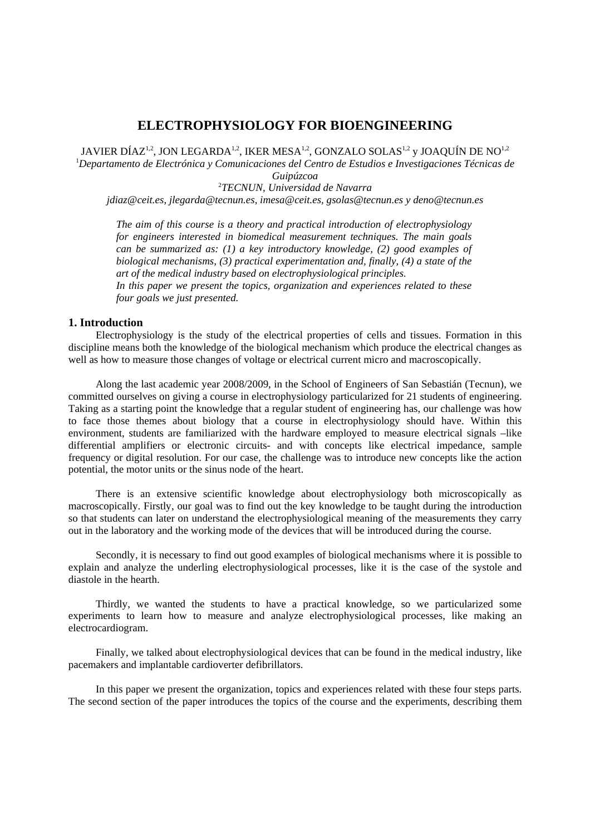# **ELECTROPHYSIOLOGY FOR BIOENGINEERING**

JAVIER DÍAZ<sup>1,2</sup>, JON LEGARDA<sup>1,2</sup>, IKER MESA<sup>1,2</sup>, GONZALO SOLAS<sup>1,2</sup> y JOAQUÍN DE NO<sup>1,2</sup>

1 *Departamento de Electrónica y Comunicaciones del Centro de Estudios e Investigaciones Técnicas de Guipúzcoa* 

2 *TECNUN, Universidad de Navarra* 

*jdiaz@ceit.es, jlegarda@tecnun.es, imesa@ceit.es, gsolas@tecnun.es y deno@tecnun.es* 

*The aim of this course is a theory and practical introduction of electrophysiology for engineers interested in biomedical measurement techniques. The main goals can be summarized as: (1) a key introductory knowledge, (2) good examples of biological mechanisms, (3) practical experimentation and, finally, (4) a state of the art of the medical industry based on electrophysiological principles. In this paper we present the topics, organization and experiences related to these four goals we just presented.*

# **1. Introduction**

Electrophysiology is the study of the electrical properties of cells and tissues. Formation in this discipline means both the knowledge of the biological mechanism which produce the electrical changes as well as how to measure those changes of voltage or electrical current micro and macroscopically.

Along the last academic year 2008/2009, in the School of Engineers of San Sebastián (Tecnun), we committed ourselves on giving a course in electrophysiology particularized for 21 students of engineering. Taking as a starting point the knowledge that a regular student of engineering has, our challenge was how to face those themes about biology that a course in electrophysiology should have. Within this environment, students are familiarized with the hardware employed to measure electrical signals –like differential amplifiers or electronic circuits- and with concepts like electrical impedance, sample frequency or digital resolution. For our case, the challenge was to introduce new concepts like the action potential, the motor units or the sinus node of the heart.

There is an extensive scientific knowledge about electrophysiology both microscopically as macroscopically. Firstly, our goal was to find out the key knowledge to be taught during the introduction so that students can later on understand the electrophysiological meaning of the measurements they carry out in the laboratory and the working mode of the devices that will be introduced during the course.

Secondly, it is necessary to find out good examples of biological mechanisms where it is possible to explain and analyze the underling electrophysiological processes, like it is the case of the systole and diastole in the hearth.

Thirdly, we wanted the students to have a practical knowledge, so we particularized some experiments to learn how to measure and analyze electrophysiological processes, like making an electrocardiogram.

Finally, we talked about electrophysiological devices that can be found in the medical industry, like pacemakers and implantable cardioverter defibrillators.

In this paper we present the organization, topics and experiences related with these four steps parts. The second section of the paper introduces the topics of the course and the experiments, describing them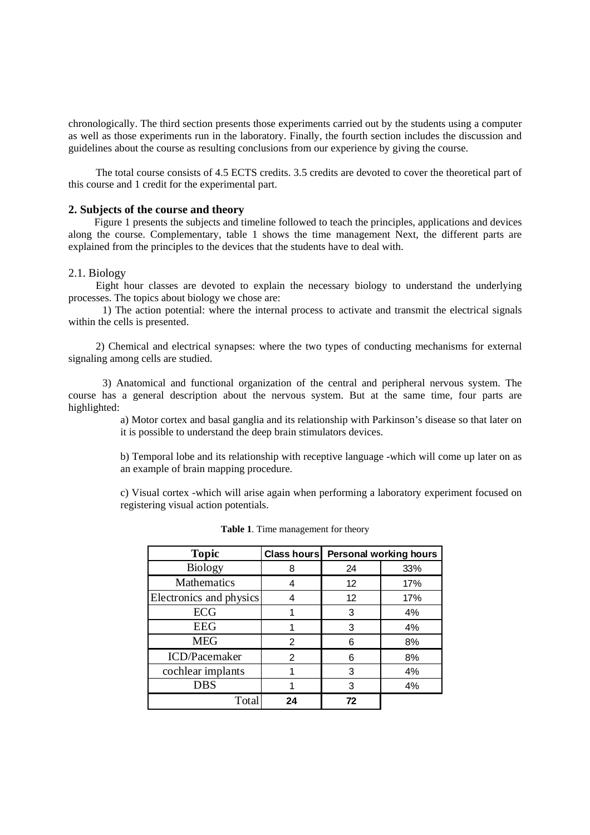chronologically. The third section presents those experiments carried out by the students using a computer as well as those experiments run in the laboratory. Finally, the fourth section includes the discussion and guidelines about the course as resulting conclusions from our experience by giving the course.

The total course consists of 4.5 ECTS credits. 3.5 credits are devoted to cover the theoretical part of this course and 1 credit for the experimental part.

### **2. Subjects of the course and theory**

Figure 1 presents the subjects and timeline followed to teach the principles, applications and devices along the course. Complementary, table 1 shows the time management Next, the different parts are explained from the principles to the devices that the students have to deal with.

### 2.1. Biology

Eight hour classes are devoted to explain the necessary biology to understand the underlying processes. The topics about biology we chose are:

 1) The action potential: where the internal process to activate and transmit the electrical signals within the cells is presented.

2) Chemical and electrical synapses: where the two types of conducting mechanisms for external signaling among cells are studied.

 3) Anatomical and functional organization of the central and peripheral nervous system. The course has a general description about the nervous system. But at the same time, four parts are highlighted:

> a) Motor cortex and basal ganglia and its relationship with Parkinson's disease so that later on it is possible to understand the deep brain stimulators devices.

> b) Temporal lobe and its relationship with receptive language -which will come up later on as an example of brain mapping procedure.

> c) Visual cortex -which will arise again when performing a laboratory experiment focused on registering visual action potentials.

| <b>Topic</b>            | Class hours | Personal working hours |     |
|-------------------------|-------------|------------------------|-----|
| <b>Biology</b>          | 8           | 24                     | 33% |
| <b>Mathematics</b>      |             | 12                     | 17% |
| Electronics and physics |             | 12                     | 17% |
| ECG                     |             | 3                      | 4%  |
| <b>EEG</b>              |             | 3                      | 4%  |
| <b>MEG</b>              | 2           | 6                      | 8%  |
| ICD/Pacemaker           | 2           | 6                      | 8%  |
| cochlear implants       |             | 3                      | 4%  |
| <b>DBS</b>              |             | 3                      | 4%  |
| Total                   | 24          | 72                     |     |

**Table 1**. Time management for theory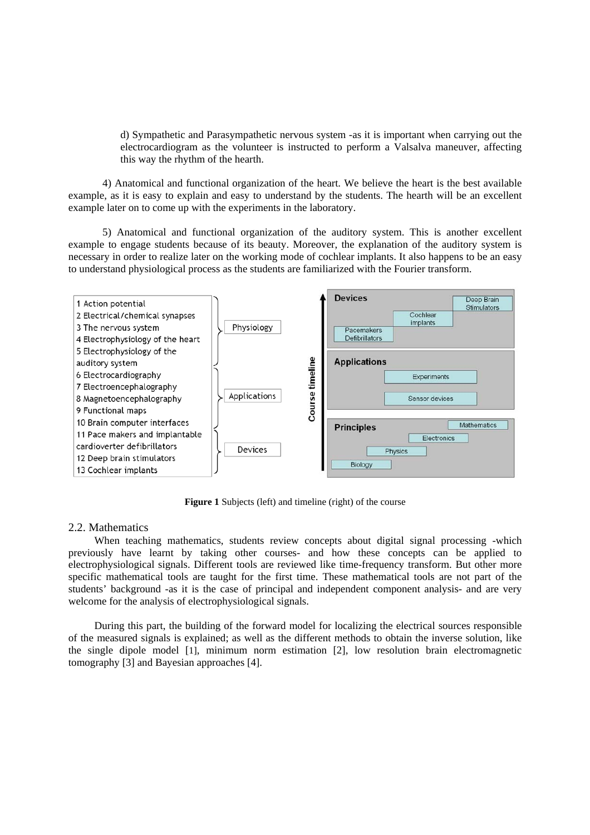d) Sympathetic and Parasympathetic nervous system -as it is important when carrying out the electrocardiogram as the volunteer is instructed to perform a Valsalva maneuver, affecting this way the rhythm of the hearth.

4) Anatomical and functional organization of the heart. We believe the heart is the best available example, as it is easy to explain and easy to understand by the students. The hearth will be an excellent example later on to come up with the experiments in the laboratory.

5) Anatomical and functional organization of the auditory system. This is another excellent example to engage students because of its beauty. Moreover, the explanation of the auditory system is necessary in order to realize later on the working mode of cochlear implants. It also happens to be an easy to understand physiological process as the students are familiarized with the Fourier transform.



**Figure 1** Subjects (left) and timeline (right) of the course

# 2.2. Mathematics

When teaching mathematics, students review concepts about digital signal processing -which previously have learnt by taking other courses- and how these concepts can be applied to electrophysiological signals. Different tools are reviewed like time-frequency transform. But other more specific mathematical tools are taught for the first time. These mathematical tools are not part of the students' background -as it is the case of principal and independent component analysis- and are very welcome for the analysis of electrophysiological signals.

During this part, the building of the forward model for localizing the electrical sources responsible of the measured signals is explained; as well as the different methods to obtain the inverse solution, like the single dipole model [1], minimum norm estimation [2], low resolution brain electromagnetic tomography [3] and Bayesian approaches [4].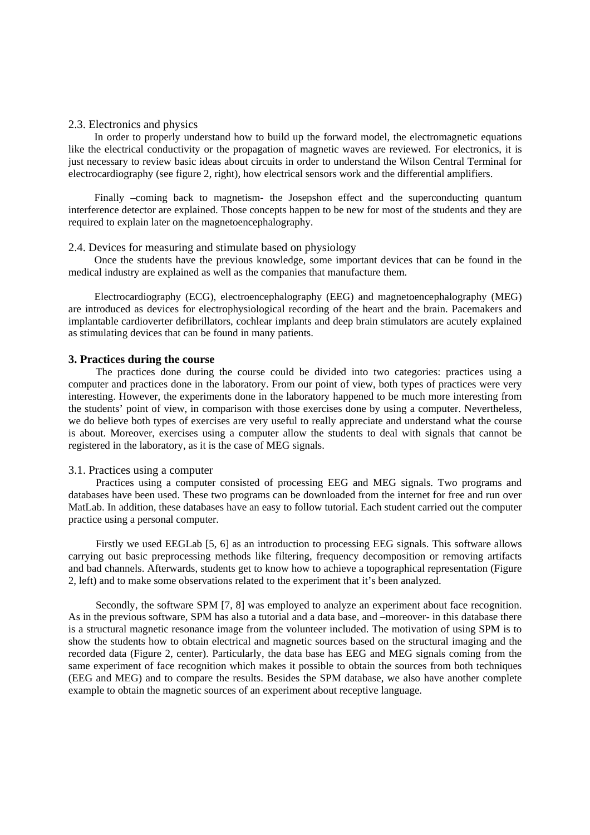## 2.3. Electronics and physics

In order to properly understand how to build up the forward model, the electromagnetic equations like the electrical conductivity or the propagation of magnetic waves are reviewed. For electronics, it is just necessary to review basic ideas about circuits in order to understand the Wilson Central Terminal for electrocardiography (see figure 2, right), how electrical sensors work and the differential amplifiers.

Finally –coming back to magnetism- the Josepshon effect and the superconducting quantum interference detector are explained. Those concepts happen to be new for most of the students and they are required to explain later on the magnetoencephalography.

#### 2.4. Devices for measuring and stimulate based on physiology

Once the students have the previous knowledge, some important devices that can be found in the medical industry are explained as well as the companies that manufacture them.

Electrocardiography (ECG), electroencephalography (EEG) and magnetoencephalography (MEG) are introduced as devices for electrophysiological recording of the heart and the brain. Pacemakers and implantable cardioverter defibrillators, cochlear implants and deep brain stimulators are acutely explained as stimulating devices that can be found in many patients.

### **3. Practices during the course**

The practices done during the course could be divided into two categories: practices using a computer and practices done in the laboratory. From our point of view, both types of practices were very interesting. However, the experiments done in the laboratory happened to be much more interesting from the students' point of view, in comparison with those exercises done by using a computer. Nevertheless, we do believe both types of exercises are very useful to really appreciate and understand what the course is about. Moreover, exercises using a computer allow the students to deal with signals that cannot be registered in the laboratory, as it is the case of MEG signals.

### 3.1. Practices using a computer

Practices using a computer consisted of processing EEG and MEG signals. Two programs and databases have been used. These two programs can be downloaded from the internet for free and run over MatLab. In addition, these databases have an easy to follow tutorial. Each student carried out the computer practice using a personal computer.

Firstly we used EEGLab [5, 6] as an introduction to processing EEG signals. This software allows carrying out basic preprocessing methods like filtering, frequency decomposition or removing artifacts and bad channels. Afterwards, students get to know how to achieve a topographical representation (Figure 2, left) and to make some observations related to the experiment that it's been analyzed.

Secondly, the software SPM [7, 8] was employed to analyze an experiment about face recognition. As in the previous software, SPM has also a tutorial and a data base, and –moreover- in this database there is a structural magnetic resonance image from the volunteer included. The motivation of using SPM is to show the students how to obtain electrical and magnetic sources based on the structural imaging and the recorded data (Figure 2, center). Particularly, the data base has EEG and MEG signals coming from the same experiment of face recognition which makes it possible to obtain the sources from both techniques (EEG and MEG) and to compare the results. Besides the SPM database, we also have another complete example to obtain the magnetic sources of an experiment about receptive language.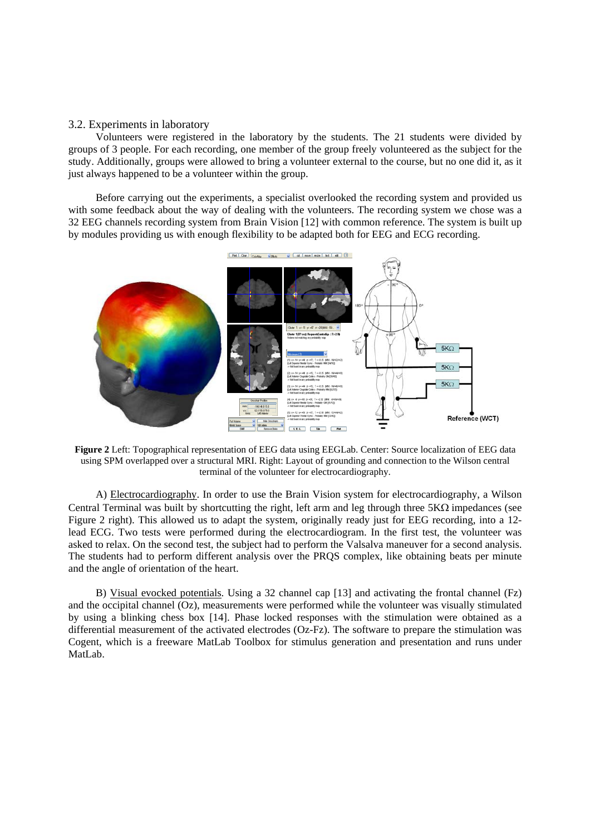# 3.2. Experiments in laboratory

Volunteers were registered in the laboratory by the students. The 21 students were divided by groups of 3 people. For each recording, one member of the group freely volunteered as the subject for the study. Additionally, groups were allowed to bring a volunteer external to the course, but no one did it, as it just always happened to be a volunteer within the group.

Before carrying out the experiments, a specialist overlooked the recording system and provided us with some feedback about the way of dealing with the volunteers. The recording system we chose was a 32 EEG channels recording system from Brain Vision [12] with common reference. The system is built up by modules providing us with enough flexibility to be adapted both for EEG and ECG recording.



**Figure 2** Left: Topographical representation of EEG data using EEGLab. Center: Source localization of EEG data using SPM overlapped over a structural MRI. Right: Layout of grounding and connection to the Wilson central terminal of the volunteer for electrocardiography.

A) Electrocardiography. In order to use the Brain Vision system for electrocardiography, a Wilson Central Terminal was built by shortcutting the right, left arm and leg through three 5KΩ impedances (see Figure 2 right). This allowed us to adapt the system, originally ready just for EEG recording, into a 12 lead ECG. Two tests were performed during the electrocardiogram. In the first test, the volunteer was asked to relax. On the second test, the subject had to perform the Valsalva maneuver for a second analysis. The students had to perform different analysis over the PRQS complex, like obtaining beats per minute and the angle of orientation of the heart.

B) Visual evocked potentials. Using a 32 channel cap [13] and activating the frontal channel (Fz) and the occipital channel (Oz), measurements were performed while the volunteer was visually stimulated by using a blinking chess box [14]. Phase locked responses with the stimulation were obtained as a differential measurement of the activated electrodes (Oz-Fz). The software to prepare the stimulation was Cogent, which is a freeware MatLab Toolbox for stimulus generation and presentation and runs under MatLab.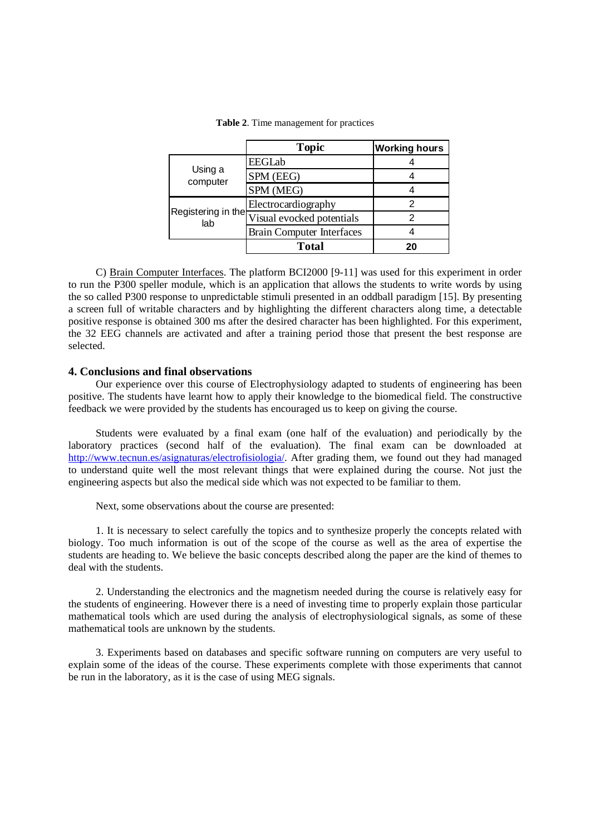|                           | <b>Topic</b>                     | <b>Working hours</b> |
|---------------------------|----------------------------------|----------------------|
| Using a<br>computer       | EEGLab                           |                      |
|                           | SPM (EEG)                        |                      |
|                           | SPM (MEG)                        |                      |
| Registering in the<br>lab | Electrocardiography              |                      |
|                           | Visual evocked potentials        |                      |
|                           | <b>Brain Computer Interfaces</b> |                      |
|                           | <b>Total</b>                     | 20                   |

**Table 2**. Time management for practices

C) Brain Computer Interfaces. The platform BCI2000 [9-11] was used for this experiment in order to run the P300 speller module, which is an application that allows the students to write words by using the so called P300 response to unpredictable stimuli presented in an oddball paradigm [15]. By presenting a screen full of writable characters and by highlighting the different characters along time, a detectable positive response is obtained 300 ms after the desired character has been highlighted. For this experiment, the 32 EEG channels are activated and after a training period those that present the best response are selected.

# **4. Conclusions and final observations**

Our experience over this course of Electrophysiology adapted to students of engineering has been positive. The students have learnt how to apply their knowledge to the biomedical field. The constructive feedback we were provided by the students has encouraged us to keep on giving the course.

Students were evaluated by a final exam (one half of the evaluation) and periodically by the laboratory practices (second half of the evaluation). The final exam can be downloaded at http://www.tecnun.es/asignaturas/electrofisiologia/. After grading them, we found out they had managed to understand quite well the most relevant things that were explained during the course. Not just the engineering aspects but also the medical side which was not expected to be familiar to them.

Next, some observations about the course are presented:

1. It is necessary to select carefully the topics and to synthesize properly the concepts related with biology. Too much information is out of the scope of the course as well as the area of expertise the students are heading to. We believe the basic concepts described along the paper are the kind of themes to deal with the students.

2. Understanding the electronics and the magnetism needed during the course is relatively easy for the students of engineering. However there is a need of investing time to properly explain those particular mathematical tools which are used during the analysis of electrophysiological signals, as some of these mathematical tools are unknown by the students.

3. Experiments based on databases and specific software running on computers are very useful to explain some of the ideas of the course. These experiments complete with those experiments that cannot be run in the laboratory, as it is the case of using MEG signals.